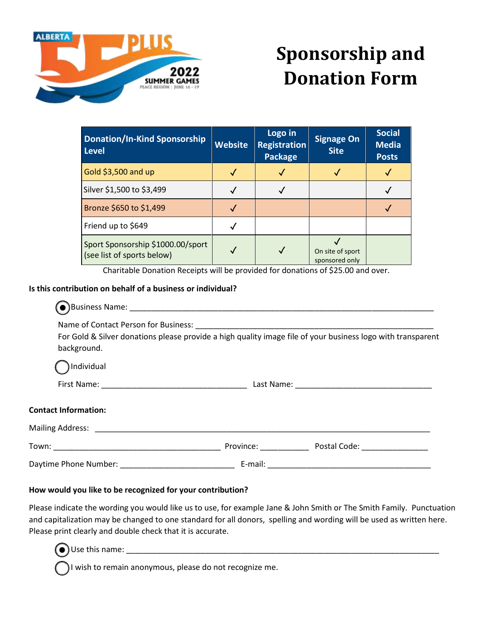

# **Sponsorship and Donation Form**

| <b>Donation/In-Kind Sponsorship</b><br><b>Level</b>             | <b>Website</b> | Logo in<br><b>Registration</b><br><b>Package</b> | <b>Signage On</b><br><b>Site</b>   | <b>Social</b><br><b>Media</b><br><b>Posts</b> |
|-----------------------------------------------------------------|----------------|--------------------------------------------------|------------------------------------|-----------------------------------------------|
| Gold \$3,500 and up                                             |                |                                                  |                                    |                                               |
| Silver \$1,500 to \$3,499                                       |                |                                                  |                                    |                                               |
| Bronze \$650 to \$1,499                                         |                |                                                  |                                    |                                               |
| Friend up to \$649                                              |                |                                                  |                                    |                                               |
| Sport Sponsorship \$1000.00/sport<br>(see list of sports below) | √              |                                                  | On site of sport<br>sponsored only |                                               |

Charitable Donation Receipts will be provided for donations of \$25.00 and over.

## **Is this contribution on behalf of a business or individual?**

| background.                                                                                                     |         | For Gold & Silver donations please provide a high quality image file of your business logo with transparent |  |  |
|-----------------------------------------------------------------------------------------------------------------|---------|-------------------------------------------------------------------------------------------------------------|--|--|
| Individual                                                                                                      |         |                                                                                                             |  |  |
|                                                                                                                 |         |                                                                                                             |  |  |
| <b>Contact Information:</b>                                                                                     |         |                                                                                                             |  |  |
|                                                                                                                 |         |                                                                                                             |  |  |
|                                                                                                                 |         | Province: Postal Code:                                                                                      |  |  |
| Daytime Phone Number: Name of The Contract of The Contract of The Contract of The Contract of The Contract of T | E-mail: | <u> 1980 - Jan Barnett, fransk politik (d. 1980)</u>                                                        |  |  |

## **How would you like to be recognized for your contribution?**

Please indicate the wording you would like us to use, for example Jane & John Smith or The Smith Family. Punctuation and capitalization may be changed to one standard for all donors, spelling and wording will be used as written here. Please print clearly and double check that it is accurate.

 $\Box$  Use this name:

I wish to remain anonymous, please do not recognize me.